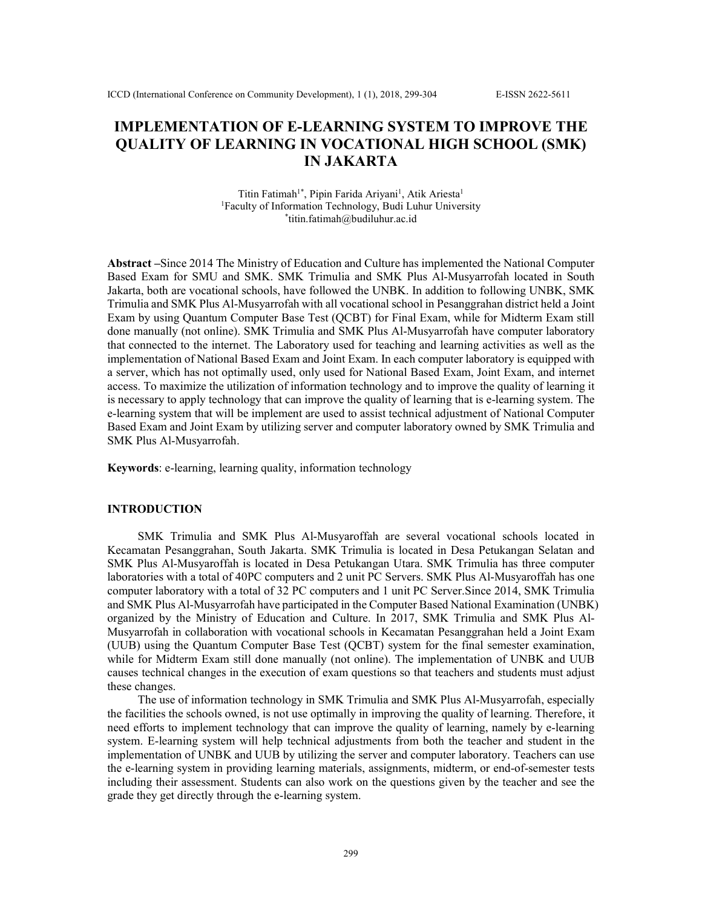# **IMPLEMENTATION OF E-LEARNING SYSTEM TO IMPROVE THE QUALITY OF LEARNING IN VOCATIONAL HIGH SCHOOL (SMK) IN JAKARTA**

Titin Fatimah<sup>1\*</sup>, Pipin Farida Ariyani<sup>1</sup>, Atik Ariesta<sup>1</sup> <sup>1</sup>Faculty of Information Technology, Budi Luhur University \* titin.fatimah@budiluhur.ac.id

**Abstract –**Since 2014 The Ministry of Education and Culture has implemented the National Computer Based Exam for SMU and SMK. SMK Trimulia and SMK Plus Al-Musyarrofah located in South Jakarta, both are vocational schools, have followed the UNBK. In addition to following UNBK, SMK Trimulia and SMK Plus Al-Musyarrofah with all vocational school in Pesanggrahan district held a Joint Exam by using Quantum Computer Base Test (QCBT) for Final Exam, while for Midterm Exam still done manually (not online). SMK Trimulia and SMK Plus Al-Musyarrofah have computer laboratory that connected to the internet. The Laboratory used for teaching and learning activities as well as the implementation of National Based Exam and Joint Exam. In each computer laboratory is equipped with a server, which has not optimally used, only used for National Based Exam, Joint Exam, and internet access. To maximize the utilization of information technology and to improve the quality of learning it is necessary to apply technology that can improve the quality of learning that is e-learning system. The e-learning system that will be implement are used to assist technical adjustment of National Computer Based Exam and Joint Exam by utilizing server and computer laboratory owned by SMK Trimulia and SMK Plus Al-Musyarrofah.

**Keywords**: e-learning, learning quality, information technology

#### **INTRODUCTION**

SMK Trimulia and SMK Plus Al-Musyaroffah are several vocational schools located in Kecamatan Pesanggrahan, South Jakarta. SMK Trimulia is located in Desa Petukangan Selatan and SMK Plus Al-Musyaroffah is located in Desa Petukangan Utara. SMK Trimulia has three computer laboratories with a total of 40PC computers and 2 unit PC Servers. SMK Plus Al-Musyaroffah has one computer laboratory with a total of 32 PC computers and 1 unit PC Server.Since 2014, SMK Trimulia and SMK Plus Al-Musyarrofah have participated in the Computer Based National Examination (UNBK) organized by the Ministry of Education and Culture. In 2017, SMK Trimulia and SMK Plus Al-Musyarrofah in collaboration with vocational schools in Kecamatan Pesanggrahan held a Joint Exam (UUB) using the Quantum Computer Base Test (QCBT) system for the final semester examination, while for Midterm Exam still done manually (not online). The implementation of UNBK and UUB causes technical changes in the execution of exam questions so that teachers and students must adjust these changes.

The use of information technology in SMK Trimulia and SMK Plus Al-Musyarrofah, especially the facilities the schools owned, is not use optimally in improving the quality of learning. Therefore, it need efforts to implement technology that can improve the quality of learning, namely by e-learning system. E-learning system will help technical adjustments from both the teacher and student in the implementation of UNBK and UUB by utilizing the server and computer laboratory. Teachers can use the e-learning system in providing learning materials, assignments, midterm, or end-of-semester tests including their assessment. Students can also work on the questions given by the teacher and see the grade they get directly through the e-learning system.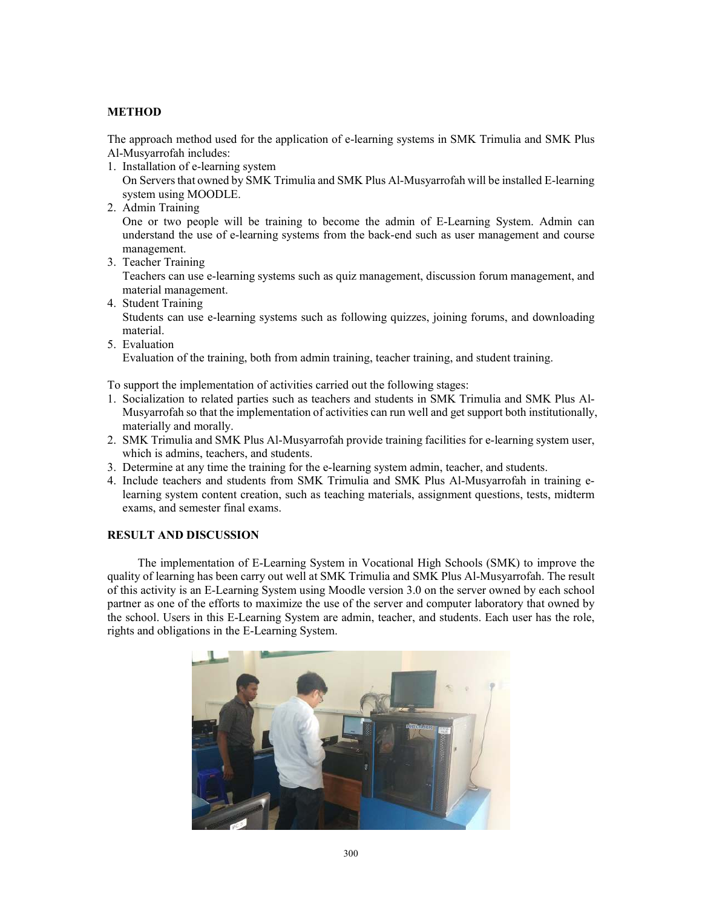# **METHOD**

The approach method used for the application of e-learning systems in SMK Trimulia and SMK Plus Al-Musyarrofah includes:

1. Installation of e-learning system

On Servers that owned by SMK Trimulia and SMK Plus Al-Musyarrofah will be installed E-learning system using MOODLE.

2. Admin Training

One or two people will be training to become the admin of E-Learning System. Admin can understand the use of e-learning systems from the back-end such as user management and course management.

3. Teacher Training

Teachers can use e-learning systems such as quiz management, discussion forum management, and material management.

- 4. Student Training Students can use e-learning systems such as following quizzes, joining forums, and downloading material.
- 5. Evaluation

Evaluation of the training, both from admin training, teacher training, and student training.

To support the implementation of activities carried out the following stages:

- 1. Socialization to related parties such as teachers and students in SMK Trimulia and SMK Plus Al-Musyarrofah so that the implementation of activities can run well and get support both institutionally, materially and morally.
- 2. SMK Trimulia and SMK Plus Al-Musyarrofah provide training facilities for e-learning system user, which is admins, teachers, and students.
- 3. Determine at any time the training for the e-learning system admin, teacher, and students.
- 4. Include teachers and students from SMK Trimulia and SMK Plus Al-Musyarrofah in training elearning system content creation, such as teaching materials, assignment questions, tests, midterm exams, and semester final exams.

### **RESULT AND DISCUSSION**

The implementation of E-Learning System in Vocational High Schools (SMK) to improve the quality of learning has been carry out well at SMK Trimulia and SMK Plus Al-Musyarrofah. The result of this activity is an E-Learning System using Moodle version 3.0 on the server owned by each school partner as one of the efforts to maximize the use of the server and computer laboratory that owned by the school. Users in this E-Learning System are admin, teacher, and students. Each user has the role, rights and obligations in the E-Learning System.

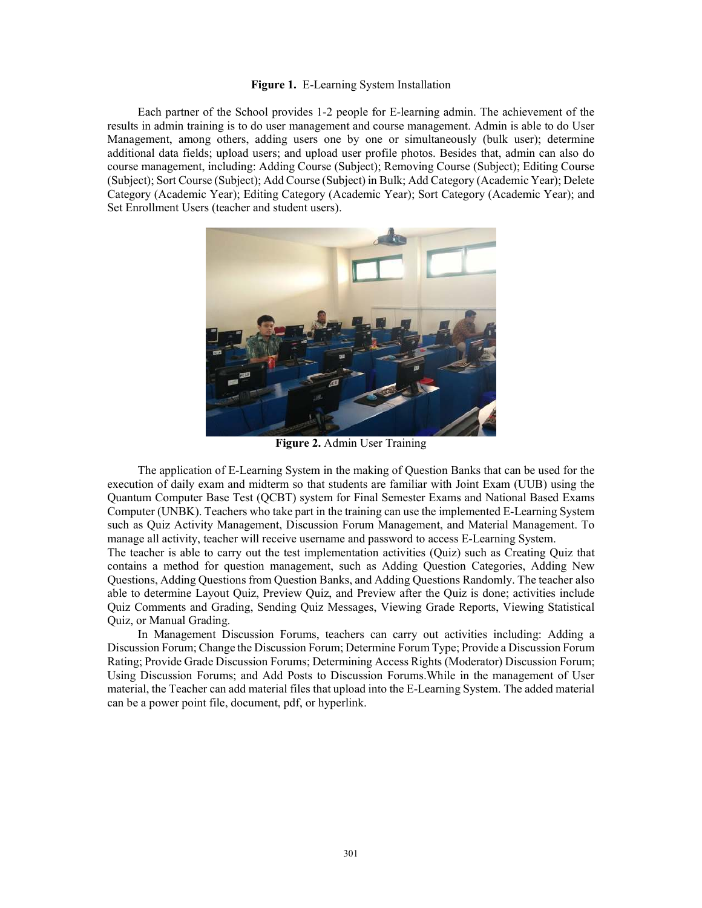#### **Figure 1.** E-Learning System Installation

Each partner of the School provides 1-2 people for E-learning admin. The achievement of the results in admin training is to do user management and course management. Admin is able to do User Management, among others, adding users one by one or simultaneously (bulk user); determine additional data fields; upload users; and upload user profile photos. Besides that, admin can also do course management, including: Adding Course (Subject); Removing Course (Subject); Editing Course (Subject); Sort Course (Subject); Add Course (Subject) in Bulk; Add Category (Academic Year); Delete Category (Academic Year); Editing Category (Academic Year); Sort Category (Academic Year); and Set Enrollment Users (teacher and student users).



**Figure 2.** Admin User Training

The application of E-Learning System in the making of Question Banks that can be used for the execution of daily exam and midterm so that students are familiar with Joint Exam (UUB) using the Quantum Computer Base Test (QCBT) system for Final Semester Exams and National Based Exams Computer (UNBK). Teachers who take part in the training can use the implemented E-Learning System such as Quiz Activity Management, Discussion Forum Management, and Material Management. To manage all activity, teacher will receive username and password to access E-Learning System.

The teacher is able to carry out the test implementation activities (Quiz) such as Creating Quiz that contains a method for question management, such as Adding Question Categories, Adding New Questions, Adding Questions from Question Banks, and Adding Questions Randomly. The teacher also able to determine Layout Quiz, Preview Quiz, and Preview after the Quiz is done; activities include Quiz Comments and Grading, Sending Quiz Messages, Viewing Grade Reports, Viewing Statistical Quiz, or Manual Grading.

In Management Discussion Forums, teachers can carry out activities including: Adding a Discussion Forum; Change the Discussion Forum; Determine Forum Type; Provide a Discussion Forum Rating; Provide Grade Discussion Forums; Determining Access Rights (Moderator) Discussion Forum; Using Discussion Forums; and Add Posts to Discussion Forums.While in the management of User material, the Teacher can add material files that upload into the E-Learning System. The added material can be a power point file, document, pdf, or hyperlink.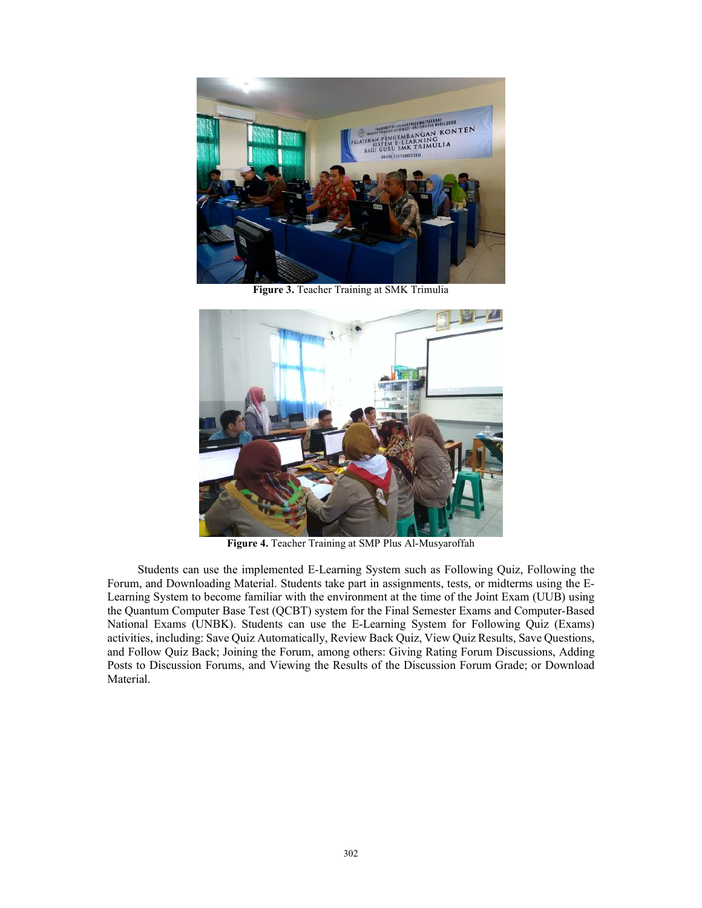

**Figure 3.** Teacher Training at SMK Trimulia



**Figure 4.** Teacher Training at SMP Plus Al-Musyaroffah

Students can use the implemented E-Learning System such as Following Quiz, Following the Forum, and Downloading Material. Students take part in assignments, tests, or midterms using the E-Learning System to become familiar with the environment at the time of the Joint Exam (UUB) using the Quantum Computer Base Test (QCBT) system for the Final Semester Exams and Computer-Based National Exams (UNBK). Students can use the E-Learning System for Following Quiz (Exams) activities, including: Save Quiz Automatically, Review Back Quiz, View Quiz Results, Save Questions, and Follow Quiz Back; Joining the Forum, among others: Giving Rating Forum Discussions, Adding Posts to Discussion Forums, and Viewing the Results of the Discussion Forum Grade; or Download Material.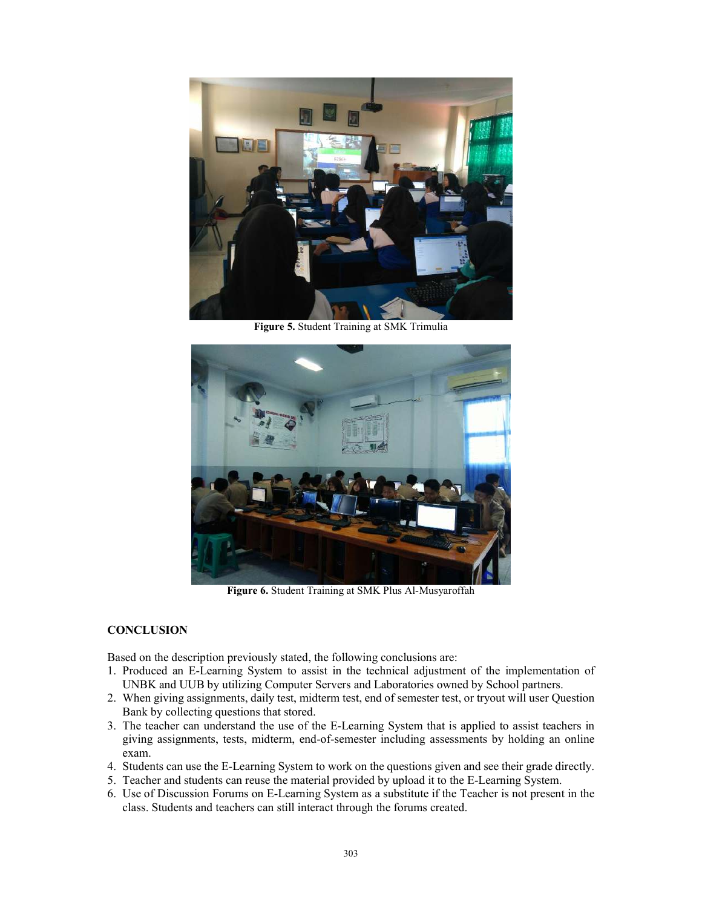

**Figure 5.** Student Training at SMK Trimulia



**Figure 6.** Student Training at SMK Plus Al-Musyaroffah

### **CONCLUSION**

Based on the description previously stated, the following conclusions are:

- 1. Produced an E-Learning System to assist in the technical adjustment of the implementation of UNBK and UUB by utilizing Computer Servers and Laboratories owned by School partners.
- 2. When giving assignments, daily test, midterm test, end of semester test, or tryout will user Question Bank by collecting questions that stored.
- 3. The teacher can understand the use of the E-Learning System that is applied to assist teachers in giving assignments, tests, midterm, end-of-semester including assessments by holding an online exam.
- 4. Students can use the E-Learning System to work on the questions given and see their grade directly.
- 5. Teacher and students can reuse the material provided by upload it to the E-Learning System.
- 6. Use of Discussion Forums on E-Learning System as a substitute if the Teacher is not present in the class. Students and teachers can still interact through the forums created.